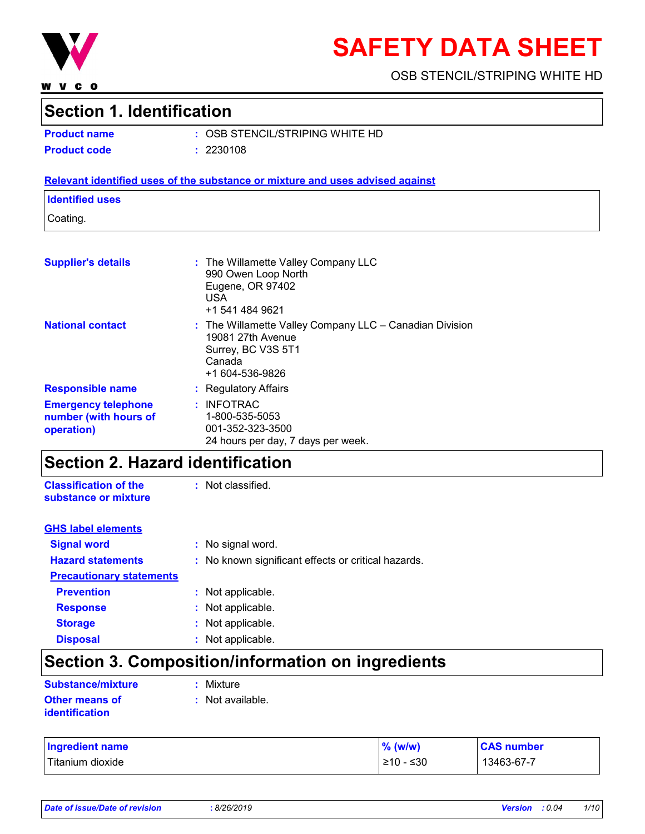

**WVCO** 

# **SAFETY DATA SHEET**

OSB STENCIL/STRIPING WHITE HD

## **Section 1. Identification**

|  | <b>Product name</b> |
|--|---------------------|
|  |                     |

**Product name :** OSB STENCIL/STRIPING WHITE HD **Product code :** 2230108

#### **Relevant identified uses of the substance or mixture and uses advised against**

#### **Identified uses**

Coating.

| <b>Supplier's details</b>                                         | : The Willamette Valley Company LLC<br>990 Owen Loop North<br>Eugene, OR 97402<br><b>USA</b><br>+1 541 484 9621                     |
|-------------------------------------------------------------------|-------------------------------------------------------------------------------------------------------------------------------------|
| <b>National contact</b>                                           | $:$ The Willamette Valley Company LLC $-$ Canadian Division<br>19081 27th Avenue<br>Surrey, BC V3S 5T1<br>Canada<br>+1 604-536-9826 |
| <b>Responsible name</b>                                           | : Regulatory Affairs                                                                                                                |
| <b>Emergency telephone</b><br>number (with hours of<br>operation) | : INFOTRAC<br>1-800-535-5053<br>001-352-323-3500<br>24 hours per day, 7 days per week.                                              |

## **Section 2. Hazard identification**

**Classification of the substance or mixture** : Not classified.

| <b>GHS label elements</b>       |                                                     |
|---------------------------------|-----------------------------------------------------|
| <b>Signal word</b>              | : No signal word.                                   |
| <b>Hazard statements</b>        | : No known significant effects or critical hazards. |
| <b>Precautionary statements</b> |                                                     |
| <b>Prevention</b>               | : Not applicable.                                   |
| <b>Response</b>                 | : Not applicable.                                   |
| <b>Storage</b>                  | : Not applicable.                                   |
| <b>Disposal</b>                 | Not applicable.                                     |

## **Section 3. Composition/information on ingredients**

| <b>Substance/mixture</b> | : Mixture        |
|--------------------------|------------------|
| Other means of           | : Not available. |
| identification           |                  |

| <b>Ingredient name</b> | $%$ (w/w) | <b>CAS number</b> |
|------------------------|-----------|-------------------|
| Titanium dioxide       | ≥10 - ≤30 | 13463-67-7        |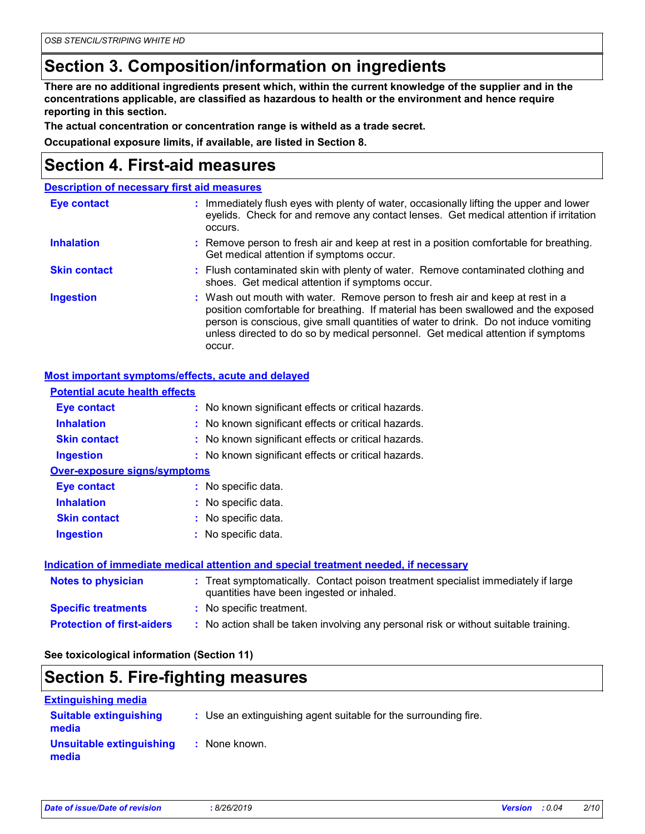## **Section 3. Composition/information on ingredients**

**There are no additional ingredients present which, within the current knowledge of the supplier and in the concentrations applicable, are classified as hazardous to health or the environment and hence require reporting in this section.**

**The actual concentration or concentration range is witheld as a trade secret.**

**Occupational exposure limits, if available, are listed in Section 8.**

### **Section 4. First-aid measures**

|                     | <b>Description of necessary first aid measures</b>                                                                                                                                                                                                                                                                                                        |
|---------------------|-----------------------------------------------------------------------------------------------------------------------------------------------------------------------------------------------------------------------------------------------------------------------------------------------------------------------------------------------------------|
| <b>Eye contact</b>  | : Immediately flush eyes with plenty of water, occasionally lifting the upper and lower<br>eyelids. Check for and remove any contact lenses. Get medical attention if irritation<br>occurs.                                                                                                                                                               |
| <b>Inhalation</b>   | : Remove person to fresh air and keep at rest in a position comfortable for breathing.<br>Get medical attention if symptoms occur.                                                                                                                                                                                                                        |
| <b>Skin contact</b> | : Flush contaminated skin with plenty of water. Remove contaminated clothing and<br>shoes. Get medical attention if symptoms occur.                                                                                                                                                                                                                       |
| <b>Ingestion</b>    | : Wash out mouth with water. Remove person to fresh air and keep at rest in a<br>position comfortable for breathing. If material has been swallowed and the exposed<br>person is conscious, give small quantities of water to drink. Do not induce vomiting<br>unless directed to do so by medical personnel. Get medical attention if symptoms<br>occur. |

#### **Most important symptoms/effects, acute and delayed**

| <b>Potential acute health effects</b> |                                                                                                                                |
|---------------------------------------|--------------------------------------------------------------------------------------------------------------------------------|
| Eye contact                           | : No known significant effects or critical hazards.                                                                            |
| <b>Inhalation</b>                     | : No known significant effects or critical hazards.                                                                            |
| <b>Skin contact</b>                   | : No known significant effects or critical hazards.                                                                            |
| <b>Ingestion</b>                      | : No known significant effects or critical hazards.                                                                            |
| <b>Over-exposure signs/symptoms</b>   |                                                                                                                                |
| Eye contact                           | : No specific data.                                                                                                            |
| <b>Inhalation</b>                     | : No specific data.                                                                                                            |
| <b>Skin contact</b>                   | : No specific data.                                                                                                            |
| <b>Ingestion</b>                      | $:$ No specific data.                                                                                                          |
|                                       | Indication of immediate medical attention and special treatment needed, if necessary                                           |
| <b>Notes to physician</b>             | : Treat symptomatically. Contact poison treatment specialist immediately if large<br>quantities have been ingested or inhaled. |
| <b>Specific treatments</b>            | : No specific treatment.                                                                                                       |
| <b>Protection of first-aiders</b>     | : No action shall be taken involving any personal risk or without suitable training.                                           |

#### **See toxicological information (Section 11)**

### **Section 5. Fire-fighting measures**

| <b>Extinguishing media</b>             |                                                                 |
|----------------------------------------|-----------------------------------------------------------------|
| <b>Suitable extinguishing</b><br>media | : Use an extinguishing agent suitable for the surrounding fire. |
| Unsuitable extinguishing<br>media      | : None known.                                                   |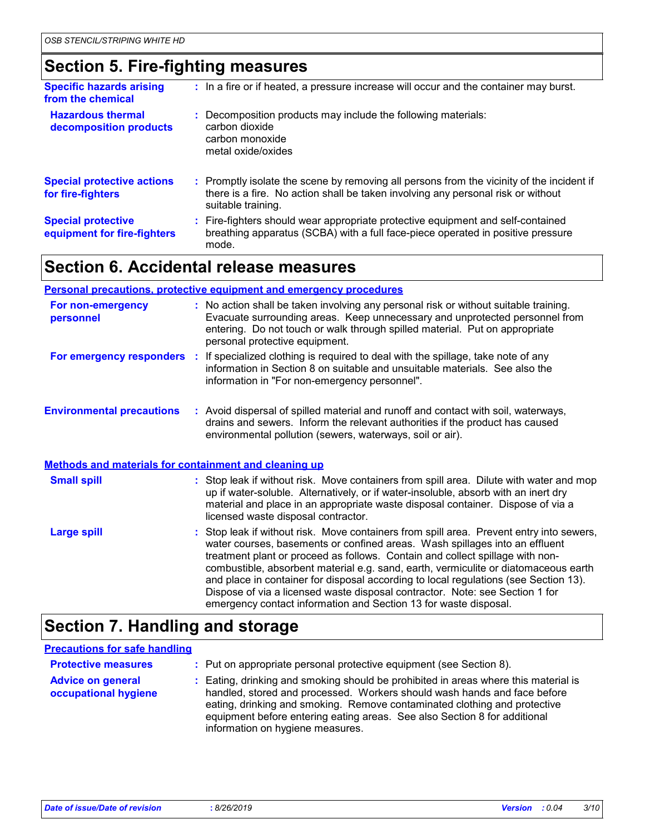## **Section 5. Fire-fighting measures**

| <b>Specific hazards arising</b><br>from the chemical     | : In a fire or if heated, a pressure increase will occur and the container may burst.                                                                                                               |
|----------------------------------------------------------|-----------------------------------------------------------------------------------------------------------------------------------------------------------------------------------------------------|
| <b>Hazardous thermal</b><br>decomposition products       | : Decomposition products may include the following materials:<br>carbon dioxide<br>carbon monoxide<br>metal oxide/oxides                                                                            |
| <b>Special protective actions</b><br>for fire-fighters   | : Promptly isolate the scene by removing all persons from the vicinity of the incident if<br>there is a fire. No action shall be taken involving any personal risk or without<br>suitable training. |
| <b>Special protective</b><br>equipment for fire-fighters | : Fire-fighters should wear appropriate protective equipment and self-contained<br>breathing apparatus (SCBA) with a full face-piece operated in positive pressure<br>mode.                         |

## **Section 6. Accidental release measures**

|                                                       | <b>Personal precautions, protective equipment and emergency procedures</b>                                                                                                                                                                                                                                                                                                                                                                                                                                                                                                                  |
|-------------------------------------------------------|---------------------------------------------------------------------------------------------------------------------------------------------------------------------------------------------------------------------------------------------------------------------------------------------------------------------------------------------------------------------------------------------------------------------------------------------------------------------------------------------------------------------------------------------------------------------------------------------|
| For non-emergency<br>personnel                        | : No action shall be taken involving any personal risk or without suitable training.<br>Evacuate surrounding areas. Keep unnecessary and unprotected personnel from<br>entering. Do not touch or walk through spilled material. Put on appropriate<br>personal protective equipment.                                                                                                                                                                                                                                                                                                        |
|                                                       | For emergency responders : If specialized clothing is required to deal with the spillage, take note of any<br>information in Section 8 on suitable and unsuitable materials. See also the<br>information in "For non-emergency personnel".                                                                                                                                                                                                                                                                                                                                                  |
| <b>Environmental precautions</b>                      | : Avoid dispersal of spilled material and runoff and contact with soil, waterways,<br>drains and sewers. Inform the relevant authorities if the product has caused<br>environmental pollution (sewers, waterways, soil or air).                                                                                                                                                                                                                                                                                                                                                             |
| Methods and materials for containment and cleaning up |                                                                                                                                                                                                                                                                                                                                                                                                                                                                                                                                                                                             |
| <b>Small spill</b>                                    | : Stop leak if without risk. Move containers from spill area. Dilute with water and mop<br>up if water-soluble. Alternatively, or if water-insoluble, absorb with an inert dry<br>material and place in an appropriate waste disposal container. Dispose of via a<br>licensed waste disposal contractor.                                                                                                                                                                                                                                                                                    |
| <b>Large spill</b>                                    | : Stop leak if without risk. Move containers from spill area. Prevent entry into sewers,<br>water courses, basements or confined areas. Wash spillages into an effluent<br>treatment plant or proceed as follows. Contain and collect spillage with non-<br>combustible, absorbent material e.g. sand, earth, vermiculite or diatomaceous earth<br>and place in container for disposal according to local regulations (see Section 13).<br>Dispose of via a licensed waste disposal contractor. Note: see Section 1 for<br>emergency contact information and Section 13 for waste disposal. |

## **Section 7. Handling and storage**

#### **Precautions for safe handling**

| <b>Protective measures</b>                       | : Put on appropriate personal protective equipment (see Section 8).                                                                                                                                                                                                                                                                                           |
|--------------------------------------------------|---------------------------------------------------------------------------------------------------------------------------------------------------------------------------------------------------------------------------------------------------------------------------------------------------------------------------------------------------------------|
| <b>Advice on general</b><br>occupational hygiene | : Eating, drinking and smoking should be prohibited in areas where this material is<br>handled, stored and processed. Workers should wash hands and face before<br>eating, drinking and smoking. Remove contaminated clothing and protective<br>equipment before entering eating areas. See also Section 8 for additional<br>information on hygiene measures. |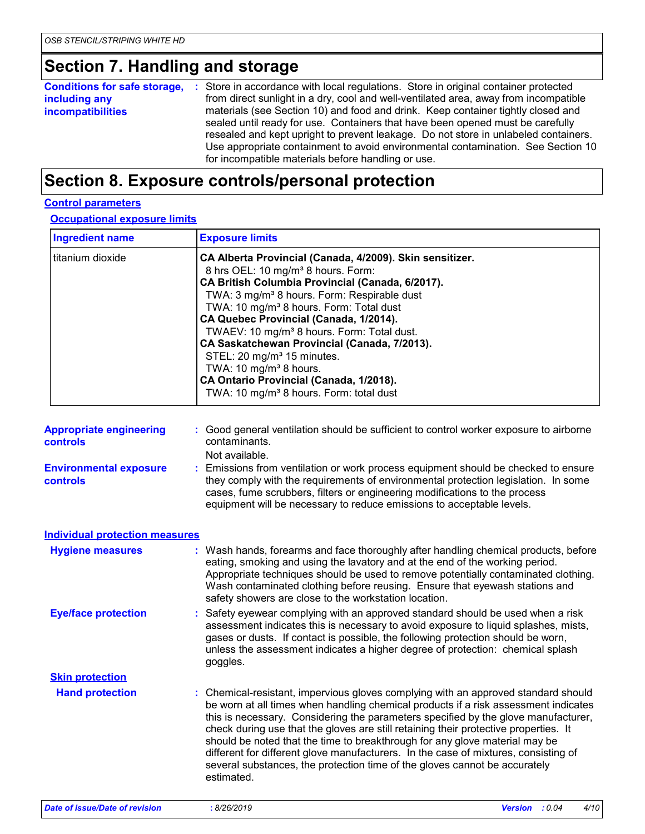## **Section 7. Handling and storage**

| <b>Conditions for safe storage, :</b> Store in accordance with local regulations. Store in original container protected<br>including any<br><i>incompatibilities</i> |
|----------------------------------------------------------------------------------------------------------------------------------------------------------------------|
|----------------------------------------------------------------------------------------------------------------------------------------------------------------------|

### **Section 8. Exposure controls/personal protection**

#### **Control parameters**

**Occupational exposure limits**

| <b>Ingredient name</b> | <b>Exposure limits</b>                                                                                                                                                                                                                                                                                                                                                                                                                                                                                                                                                                                                 |
|------------------------|------------------------------------------------------------------------------------------------------------------------------------------------------------------------------------------------------------------------------------------------------------------------------------------------------------------------------------------------------------------------------------------------------------------------------------------------------------------------------------------------------------------------------------------------------------------------------------------------------------------------|
| titanium dioxide       | CA Alberta Provincial (Canada, 4/2009). Skin sensitizer.<br>8 hrs OEL: 10 mg/m <sup>3</sup> 8 hours. Form:<br>CA British Columbia Provincial (Canada, 6/2017).<br>TWA: 3 mg/m <sup>3</sup> 8 hours. Form: Respirable dust<br>TWA: 10 mg/m <sup>3</sup> 8 hours. Form: Total dust<br>CA Quebec Provincial (Canada, 1/2014).<br>TWAEV: 10 mg/m <sup>3</sup> 8 hours. Form: Total dust.<br>CA Saskatchewan Provincial (Canada, 7/2013).<br>STEL: 20 mg/m <sup>3</sup> 15 minutes.<br>TWA: 10 mg/m <sup>3</sup> 8 hours.<br>CA Ontario Provincial (Canada, 1/2018).<br>TWA: 10 mg/m <sup>3</sup> 8 hours. Form: total dust |

Not available.

**Environmental exposure controls :** Emissions from ventilation or work process equipment should be checked to ensure they comply with the requirements of environmental protection legislation. In some cases, fume scrubbers, filters or engineering modifications to the process equipment will be necessary to reduce emissions to acceptable levels.

| <b>Individual protection measures</b> |                                                                                                                                                                                                                                                                                                                                                                                                                                                                                                                                                                                                                           |
|---------------------------------------|---------------------------------------------------------------------------------------------------------------------------------------------------------------------------------------------------------------------------------------------------------------------------------------------------------------------------------------------------------------------------------------------------------------------------------------------------------------------------------------------------------------------------------------------------------------------------------------------------------------------------|
| <b>Hygiene measures</b>               | : Wash hands, forearms and face thoroughly after handling chemical products, before<br>eating, smoking and using the lavatory and at the end of the working period.<br>Appropriate techniques should be used to remove potentially contaminated clothing.<br>Wash contaminated clothing before reusing. Ensure that eyewash stations and<br>safety showers are close to the workstation location.                                                                                                                                                                                                                         |
| <b>Eye/face protection</b>            | : Safety eyewear complying with an approved standard should be used when a risk<br>assessment indicates this is necessary to avoid exposure to liquid splashes, mists,<br>gases or dusts. If contact is possible, the following protection should be worn,<br>unless the assessment indicates a higher degree of protection: chemical splash<br>goggles.                                                                                                                                                                                                                                                                  |
| <b>Skin protection</b>                |                                                                                                                                                                                                                                                                                                                                                                                                                                                                                                                                                                                                                           |
| <b>Hand protection</b>                | : Chemical-resistant, impervious gloves complying with an approved standard should<br>be worn at all times when handling chemical products if a risk assessment indicates<br>this is necessary. Considering the parameters specified by the glove manufacturer,<br>check during use that the gloves are still retaining their protective properties. It<br>should be noted that the time to breakthrough for any glove material may be<br>different for different glove manufacturers. In the case of mixtures, consisting of<br>several substances, the protection time of the gloves cannot be accurately<br>estimated. |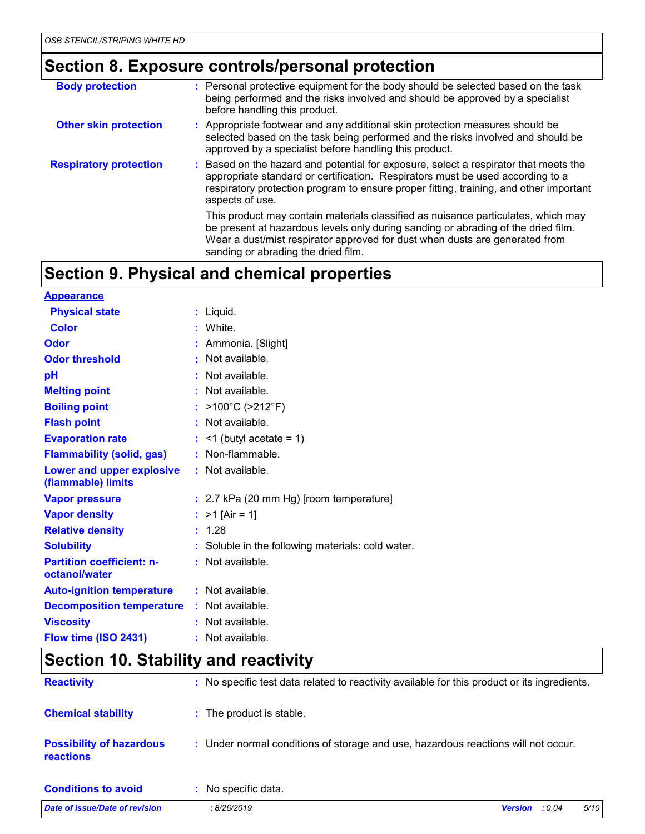## **Section 8. Exposure controls/personal protection**

| <b>Body protection</b>        | : Personal protective equipment for the body should be selected based on the task<br>being performed and the risks involved and should be approved by a specialist<br>before handling this product.                                                                                          |
|-------------------------------|----------------------------------------------------------------------------------------------------------------------------------------------------------------------------------------------------------------------------------------------------------------------------------------------|
| <b>Other skin protection</b>  | : Appropriate footwear and any additional skin protection measures should be<br>selected based on the task being performed and the risks involved and should be<br>approved by a specialist before handling this product.                                                                    |
| <b>Respiratory protection</b> | : Based on the hazard and potential for exposure, select a respirator that meets the<br>appropriate standard or certification. Respirators must be used according to a<br>respiratory protection program to ensure proper fitting, training, and other important<br>aspects of use.          |
|                               | This product may contain materials classified as nuisance particulates, which may<br>be present at hazardous levels only during sanding or abrading of the dried film.<br>Wear a dust/mist respirator approved for dust when dusts are generated from<br>sanding or abrading the dried film. |

## **Section 9. Physical and chemical properties**

| <b>Appearance</b>                                 |                                                   |
|---------------------------------------------------|---------------------------------------------------|
| <b>Physical state</b>                             | : Liquid.                                         |
| <b>Color</b>                                      | : White.                                          |
| <b>Odor</b>                                       | : Ammonia. [Slight]                               |
| <b>Odor threshold</b>                             | : Not available.                                  |
| pH                                                | : Not available.                                  |
| <b>Melting point</b>                              | : Not available.                                  |
| <b>Boiling point</b>                              | : >100°C (>212°F)                                 |
| <b>Flash point</b>                                | : Not available.                                  |
| <b>Evaporation rate</b>                           | $:$ <1 (butyl acetate = 1)                        |
| <b>Flammability (solid, gas)</b>                  | : Non-flammable.                                  |
| Lower and upper explosive<br>(flammable) limits   | : Not available.                                  |
| <b>Vapor pressure</b>                             | : 2.7 kPa (20 mm Hg) [room temperature]           |
| <b>Vapor density</b>                              | : $>1$ [Air = 1]                                  |
| <b>Relative density</b>                           | : 1.28                                            |
| <b>Solubility</b>                                 | : Soluble in the following materials: cold water. |
| <b>Partition coefficient: n-</b><br>octanol/water | : Not available.                                  |
| <b>Auto-ignition temperature</b>                  | : Not available.                                  |
| <b>Decomposition temperature</b>                  | : Not available.                                  |
| <b>Viscosity</b>                                  | $:$ Not available.                                |
| Flow time (ISO 2431)                              | $:$ Not available.                                |

## **Section 10. Stability and reactivity**

| <b>Reactivity</b>                                   | : No specific test data related to reactivity available for this product or its ingredients. |
|-----------------------------------------------------|----------------------------------------------------------------------------------------------|
| <b>Chemical stability</b>                           | : The product is stable.                                                                     |
| <b>Possibility of hazardous</b><br><b>reactions</b> | : Under normal conditions of storage and use, hazardous reactions will not occur.            |
| <b>Conditions to avoid</b>                          | : No specific data.                                                                          |
| Date of issue/Date of revision                      | 5/10<br>: 8/26/2019<br><b>Version</b><br>: 0.04                                              |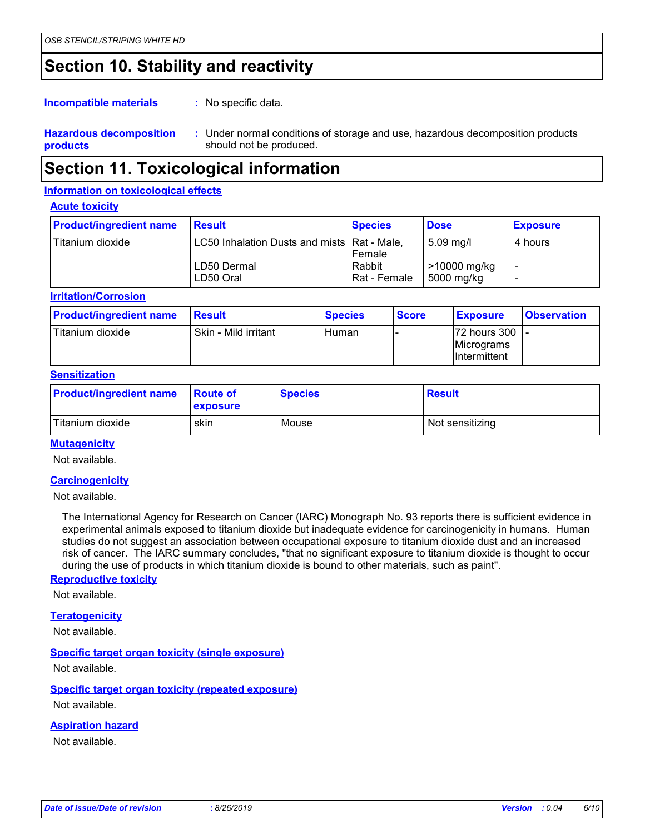### **Section 10. Stability and reactivity**

: No specific data. **Incompatible materials :**

**Hazardous decomposition products** Under normal conditions of storage and use, hazardous decomposition products **:** should not be produced.

### **Section 11. Toxicological information**

#### **Information on toxicological effects**

#### **Acute toxicity**

| <b>Product/ingredient name</b> | <b>Result</b>                                                             | <b>Species</b>                   | <b>Dose</b>                                          | <b>Exposure</b> |
|--------------------------------|---------------------------------------------------------------------------|----------------------------------|------------------------------------------------------|-----------------|
| Titanium dioxide               | LC50 Inhalation Dusts and mists   Rat - Male,<br>LD50 Dermal<br>LD50 Oral | Female<br>Rabbit<br>Rat - Female | $5.09 \,\mathrm{mg/l}$<br>>10000 mg/kg<br>5000 mg/kg | 4 hours         |

**Irritation/Corrosion**

| <b>Product/ingredient name</b> | <b>Result</b>        | <b>Species</b> | <b>Score</b> | <b>Exposure</b>                               | <b>Observation</b> |
|--------------------------------|----------------------|----------------|--------------|-----------------------------------------------|--------------------|
| Titanium dioxide               | Skin - Mild irritant | l Human        |              | 72 hours 300  -<br>Micrograms<br>Intermittent |                    |

#### **Sensitization**

| <b>Product/ingredient name</b> | <b>Route of</b><br>exposure | <b>Species</b> | <b>Result</b>   |
|--------------------------------|-----------------------------|----------------|-----------------|
| Titanium dioxide               | skin                        | Mouse          | Not sensitizing |

#### **Mutagenicity**

Not available.

#### **Carcinogenicity**

Not available.

The International Agency for Research on Cancer (IARC) Monograph No. 93 reports there is sufficient evidence in experimental animals exposed to titanium dioxide but inadequate evidence for carcinogenicity in humans. Human studies do not suggest an association between occupational exposure to titanium dioxide dust and an increased risk of cancer. The IARC summary concludes, "that no significant exposure to titanium dioxide is thought to occur during the use of products in which titanium dioxide is bound to other materials, such as paint".

#### **Reproductive toxicity**

Not available.

#### **Teratogenicity**

Not available.

#### **Specific target organ toxicity (single exposure)**

Not available.

**Specific target organ toxicity (repeated exposure)** Not available.

#### **Aspiration hazard**

Not available.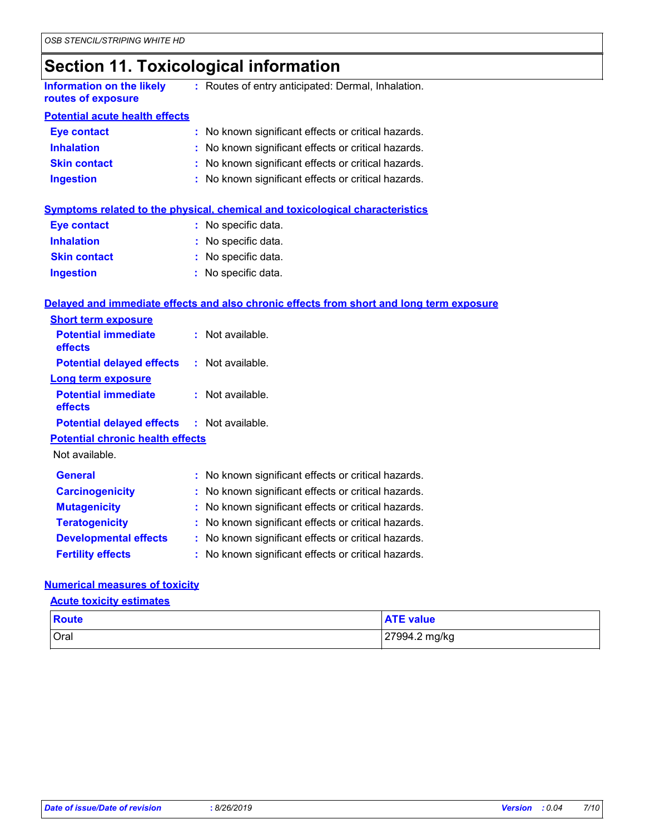## **Section 11. Toxicological information**

| Information on the likely | : Routes of entry anticipated: Dermal, Inhalation. |
|---------------------------|----------------------------------------------------|
| routes of exposure        |                                                    |

#### **Potential acute health effects**

| <b>Eye contact</b>  | : No known significant effects or critical hazards. |
|---------------------|-----------------------------------------------------|
| <b>Inhalation</b>   | : No known significant effects or critical hazards. |
| <b>Skin contact</b> | : No known significant effects or critical hazards. |
| <b>Ingestion</b>    | : No known significant effects or critical hazards. |

#### **Symptoms related to the physical, chemical and toxicological characteristics**

| <b>Eye contact</b>  | : No specific data. |
|---------------------|---------------------|
| <b>Inhalation</b>   | : No specific data. |
| <b>Skin contact</b> | : No specific data. |
| <b>Ingestion</b>    | : No specific data. |

#### **Delayed and immediate effects and also chronic effects from short and long term exposure**

| <b>Short term exposure</b>                        |                                                     |
|---------------------------------------------------|-----------------------------------------------------|
| <b>Potential immediate</b><br>effects             | $:$ Not available.                                  |
| <b>Potential delayed effects</b>                  | $:$ Not available.                                  |
| <b>Long term exposure</b>                         |                                                     |
| <b>Potential immediate</b><br>effects             | $:$ Not available.                                  |
| <b>Potential delayed effects : Not available.</b> |                                                     |
| <b>Potential chronic health effects</b>           |                                                     |
| Not available.                                    |                                                     |
| <b>General</b>                                    | : No known significant effects or critical hazards. |
| <b>Carcinogenicity</b>                            | : No known significant effects or critical hazards. |
| <b>Mutagenicity</b>                               | : No known significant effects or critical hazards. |
| <b>Teratogenicity</b>                             | : No known significant effects or critical hazards. |
| <b>Developmental effects</b>                      | : No known significant effects or critical hazards. |
| <b>Fertility effects</b>                          | : No known significant effects or critical hazards. |

#### **Numerical measures of toxicity**

#### **Acute toxicity estimates**

| Route       | <b>ATE value</b> |
|-------------|------------------|
| <b>Oral</b> | 27994.2 mg/kg    |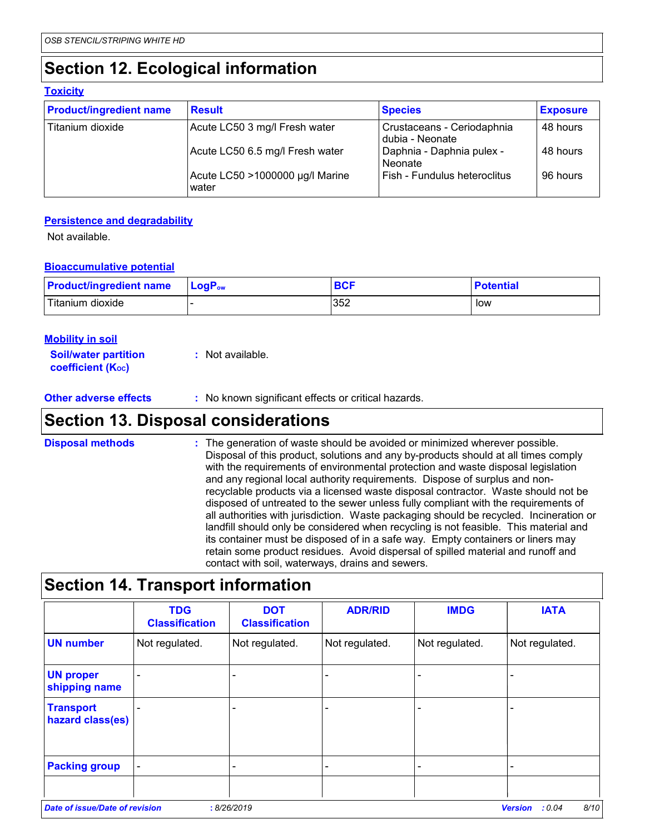## **Section 12. Ecological information**

#### **Toxicity**

| <b>Product/ingredient name</b> | <b>Result</b>                            | <b>Species</b>                                | <b>Exposure</b> |
|--------------------------------|------------------------------------------|-----------------------------------------------|-----------------|
| Titanium dioxide               | Acute LC50 3 mg/l Fresh water            | Crustaceans - Ceriodaphnia<br>dubia - Neonate | 48 hours        |
|                                | Acute LC50 6.5 mg/l Fresh water          | Daphnia - Daphnia pulex -<br>Neonate          | 48 hours        |
|                                | Acute LC50 >1000000 µg/l Marine<br>water | Fish - Fundulus heteroclitus                  | 96 hours        |

#### **Persistence and degradability**

Not available.

#### **Bioaccumulative potential**

| <b>Product/ingredient name</b> | $\mathsf{LogP}_\mathsf{ow}$ | <b>BCF</b> | <b>Potential</b> |
|--------------------------------|-----------------------------|------------|------------------|
| Titanium dioxide               |                             | 352        | low              |

| <b>Mobility in soil</b>                                 |                  |
|---------------------------------------------------------|------------------|
| <b>Soil/water partition</b><br><b>coefficient (Koc)</b> | : Not available. |

**Other adverse effects** : No known significant effects or critical hazards.

### **Section 13. Disposal considerations**

: The generation of waste should be avoided or minimized wherever possible. Disposal of this product, solutions and any by-products should at all times comply with the requirements of environmental protection and waste disposal legislation and any regional local authority requirements. Dispose of surplus and nonrecyclable products via a licensed waste disposal contractor. Waste should not be disposed of untreated to the sewer unless fully compliant with the requirements of all authorities with jurisdiction. Waste packaging should be recycled. Incineration or landfill should only be considered when recycling is not feasible. This material and its container must be disposed of in a safe way. Empty containers or liners may retain some product residues. Avoid dispersal of spilled material and runoff and contact with soil, waterways, drains and sewers. **Disposal methods :**

## **Section 14. Transport information**

|                          | <b>Classification</b> |                |                |                |
|--------------------------|-----------------------|----------------|----------------|----------------|
| Not regulated.           | Not regulated.        | Not regulated. | Not regulated. | Not regulated. |
|                          |                       |                |                |                |
|                          |                       |                |                |                |
| $\overline{\phantom{0}}$ |                       |                |                |                |
|                          |                       |                |                |                |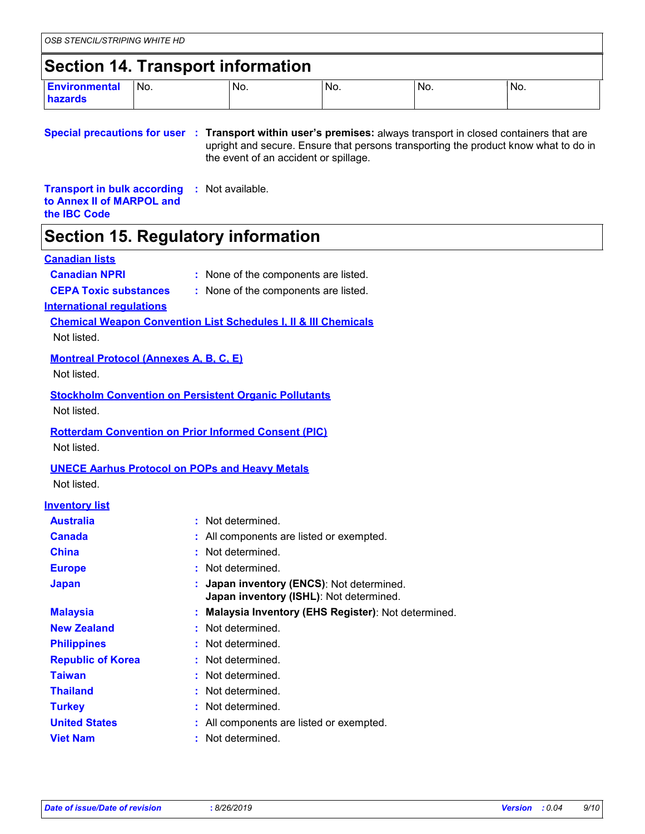## **Section 14. Transport information**

| <b>Environmental</b><br>hazards | No.<br>$\sim$ $\sim$ | No. | No.<br>$\sim$ $\sim$ | No. | IN <sub>o</sub> |
|---------------------------------|----------------------|-----|----------------------|-----|-----------------|

**Special precautions for user Transport within user's premises:** always transport in closed containers that are **:** upright and secure. Ensure that persons transporting the product know what to do in the event of an accident or spillage.

**Transport in bulk according :** Not available. **to Annex II of MARPOL and the IBC Code**

### **Section 15. Regulatory information**

#### **Canadian lists**

- **Canadian NPRI :** None of the components are listed.
- 
- **CEPA Toxic substances :** None of the components are listed.

**International regulations**

**Chemical Weapon Convention List Schedules I, II & III Chemicals**

Not listed.

#### **Montreal Protocol (Annexes A, B, C, E)**

Not listed.

#### **Stockholm Convention on Persistent Organic Pollutants**

Not listed.

#### **Rotterdam Convention on Prior Informed Consent (PIC)**

Not listed.

#### **UNECE Aarhus Protocol on POPs and Heavy Metals**

Not listed.

#### **Inventory list**

| <b>Australia</b>         | : Not determined.                                                                    |
|--------------------------|--------------------------------------------------------------------------------------|
| <b>Canada</b>            | : All components are listed or exempted.                                             |
| <b>China</b>             | : Not determined.                                                                    |
| <b>Europe</b>            | : Not determined.                                                                    |
| <b>Japan</b>             | : Japan inventory (ENCS): Not determined.<br>Japan inventory (ISHL): Not determined. |
| <b>Malaysia</b>          | : Malaysia Inventory (EHS Register): Not determined.                                 |
| <b>New Zealand</b>       | : Not determined.                                                                    |
| <b>Philippines</b>       | : Not determined.                                                                    |
| <b>Republic of Korea</b> | : Not determined.                                                                    |
| <b>Taiwan</b>            | : Not determined.                                                                    |
| <b>Thailand</b>          | : Not determined.                                                                    |
| <b>Turkey</b>            | : Not determined.                                                                    |
| <b>United States</b>     | : All components are listed or exempted.                                             |
| <b>Viet Nam</b>          | : Not determined.                                                                    |